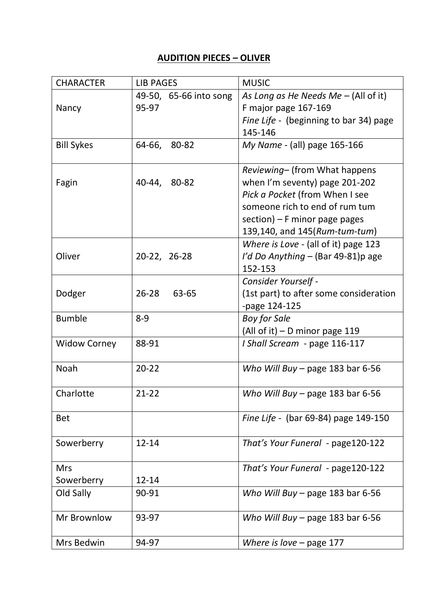## **AUDITION PIECES – OLIVER**

| <b>CHARACTER</b>    | <b>LIB PAGES</b>       | <b>MUSIC</b>                           |
|---------------------|------------------------|----------------------------------------|
|                     | 49-50, 65-66 into song | As Long as He Needs $Me - (All of it)$ |
| Nancy               | 95-97                  | F major page 167-169                   |
|                     |                        | Fine Life - (beginning to bar 34) page |
|                     |                        | 145-146                                |
| <b>Bill Sykes</b>   | 64-66,<br>80-82        | My Name - (all) page 165-166           |
|                     |                        | Reviewing- (from What happens          |
| Fagin               | 40-44, 80-82           | when I'm seventy) page 201-202         |
|                     |                        | Pick a Pocket (from When I see         |
|                     |                        | someone rich to end of rum tum         |
|                     |                        | section) $-$ F minor page pages        |
|                     |                        | 139,140, and 145(Rum-tum-tum)          |
|                     |                        | Where is Love - (all of it) page 123   |
| Oliver              | 20-22, 26-28           | I'd Do Anything - (Bar 49-81)p age     |
|                     |                        | 152-153                                |
|                     |                        | Consider Yourself -                    |
| Dodger              | $26 - 28$<br>63-65     | (1st part) to after some consideration |
|                     |                        | -page 124-125                          |
| <b>Bumble</b>       | $8 - 9$                | <b>Boy for Sale</b>                    |
|                     |                        | (All of it) $-$ D minor page 119       |
| <b>Widow Corney</b> | 88-91                  | I Shall Scream - page 116-117          |
| Noah                | $20 - 22$              | Who Will Buy – page 183 bar 6-56       |
|                     |                        |                                        |
| Charlotte           | $21 - 22$              | Who Will Buy – page 183 bar 6-56       |
|                     |                        |                                        |
| <b>Bet</b>          |                        | Fine Life - (bar 69-84) page 149-150   |
| Sowerberry          | $12 - 14$              | That's Your Funeral - page 120-122     |
|                     |                        |                                        |
| <b>Mrs</b>          |                        | That's Your Funeral - page120-122      |
| Sowerberry          | 12-14                  |                                        |
| Old Sally           | 90-91                  | Who Will Buy – page 183 bar 6-56       |
| Mr Brownlow         | 93-97                  | Who Will Buy - page 183 bar 6-56       |
|                     |                        |                                        |
| Mrs Bedwin          | 94-97                  | Where is love $-$ page 177             |